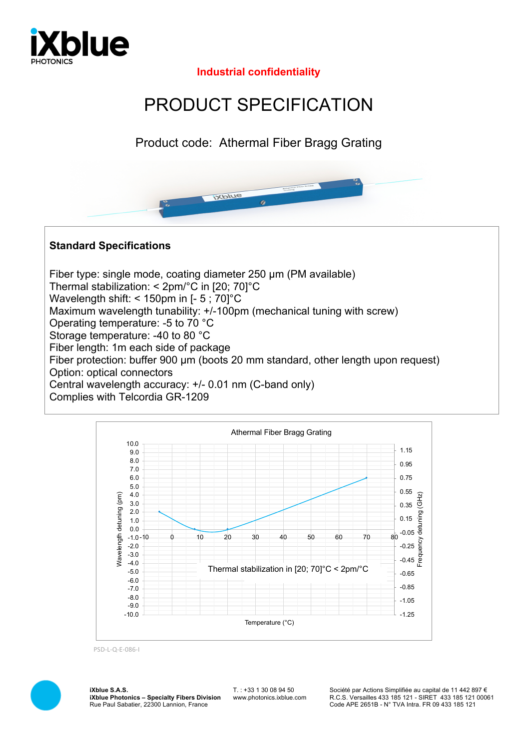

**Industrial confidentiality**

## PRODUCT SPECIFICATION

Product code: Athermal Fiber Bragg Grating



## **Standard Specifications**

Fiber type: single mode, coating diameter 250 µm (PM available) Thermal stabilization: < 2pm/°C in [20; 70]°C Wavelength shift: < 150pm in [- 5 : 70]<sup>°</sup>C Maximum wavelength tunability: +/-100pm (mechanical tuning with screw) Operating temperature: -5 to 70 °C Storage temperature: -40 to 80 °C Fiber length: 1m each side of package Fiber protection: buffer 900 µm (boots 20 mm standard, other length upon request) Option: optical connectors Central wavelength accuracy: +/- 0.01 nm (C-band only) Complies with Telcordia GR-1209



PSD-L-Q-E-086-I